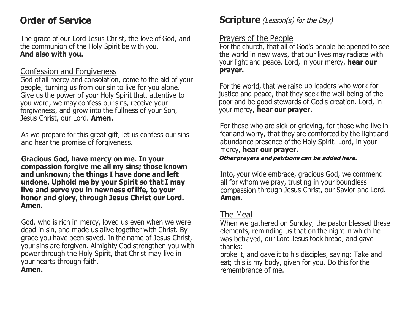# **Order of Service**

The grace of our Lord Jesus Christ, the love of God, and the communion of the Holy Spirit be with you. **And also with you.** 

#### Confession and Forgiveness

God of all mercy and consolation, come to the aid of your people, turning us from our sin to live for you alone. Give us the power of your Holy Spirit that, attentive to you word, we may confess our sins, receive your forgiveness, and grow into the fullness of your Son, Jesus Christ, our Lord. **Amen.** 

As we prepare for this great gift, let us confess our sins and hear the promise of forgiveness.

**Gracious God, have mercy on me. In your compassion forgive me all my sins; those known and unknown; the things I have done and left undone. Uphold me by your Spirit so that I may live and serve you in newness oflife, to your honor and glory, through Jesus Christ our Lord. Amen.** 

God, who is rich in mercy, loved us even when we were dead in sin, and made us alive together with Christ. By grace you have been saved. In the name of Jesus Christ, your sins are forgiven. Almighty God strengthen you with power through the Holy Spirit, that Christ may live in your hearts through faith. **Amen.** 

### **Scripture** (Lesson(s) for the Day)

#### Prayers of the People

For the church, that all of God's people be opened to see the world in new ways, that our lives may radiate with your light and peace. Lord, in your mercy, **hear our prayer.** 

For the world, that we raise up leaders who work for justice and peace, that they seek the well-being of the poor and be good stewards of God's creation. Lord, in your mercy, **hear our prayer.** 

For those who are sick or grieving, for those who live in fear and worry, that they are comforted by the light and abundance presence ofthe Holy Spirit. Lord, in your mercy, **hear our prayer.** 

**Other prayers and petitions can be added here.** 

Into, your wide embrace, gracious God, we commend all for whom we pray, trusting in your boundless compassion through Jesus Christ, our Savior and Lord. **Amen.** 

### The Meal

When we gathered on Sunday, the pastor blessed these elements, reminding us that on the night in which he was betrayed, our Lord Jesus took bread, and gave thanks;

broke it, and gave it to his disciples, saying: Take and eat; this is my body, given for you. Do this for the remembrance of me.